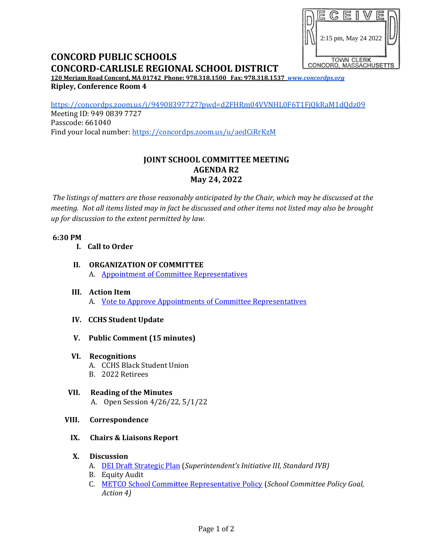

# **CONCORD PUBLIC SCHOOLS CONCORD-CARLISLE REGIONAL SCHOOL DISTRICT**

**120 Meriam Road Concord, MA 01742 Phone: 978.318.1500 Fax: 978.318.1537** *[www.concordps.org](http://www.concordps.org/)* **Ripley, Conference Room 4**

<https://concordps.zoom.us/j/94908397727?pwd=d2FHRm04VVNHL0F6T1FjQkRaM1dQdz09> Meeting ID: 949 0839 7727 Passcode: 661040 Find your local number:<https://concordps.zoom.us/u/aedCiRrKzM>

## **JOINT SCHOOL COMMITTEE MEETING AGENDA R2 May 24, 2022**

*The listings of matters are those reasonably anticipated by the Chair, which may be discussed at the meeting. Not all items listed may in fact be discussed and other items not listed may also be brought up for discussion to the extent permitted by law.*

#### **6:30 PM**

- **I. Call to Order**
- **II. ORGANIZATION OF COMMITTEE** A. [Appointment of Committee Representatives](https://www.concordps.org/wp-content/uploads/2022/05/School-Committee-Member-Appointments-5.24.22.pdf)
- **III. Action Item** A. [Vote to Approve Appointments of Committee Representatives](https://www.concordps.org/wp-content/uploads/2022/05/Vote-Assignments.pdf)
- **IV. CCHS Student Update**
- **V. Public Comment (15 minutes)**

#### **VI. Recognitions**

- A. CCHS Black Student Union
- B. 2022 Retirees
- **VII. Reading of the Minutes** A. Open Session 4/26/22, 5/1/22
- **VIII. Correspondence**
	- **IX. Chairs & Liaisons Report**

### **X. Discussion**

- A. [DEI Draft Strategic Plan](https://www.concordps.org/wp-content/uploads/2022/05/A-Draft-of-the-Strategic-Plan-on-Diversity-Equity-Inclusion-and-Belonging-PPT.pdf) (*Superintendent's Initiative III, Standard IVB)*
- B. Equity Audit
- C. [METCO School Committee Representative Policy](https://www.concordps.org/wp-content/uploads/2022/05/Concord-Carlisle-Metco-Rep-SC.pdf) (*School Committee Policy Goal, Action 4)*